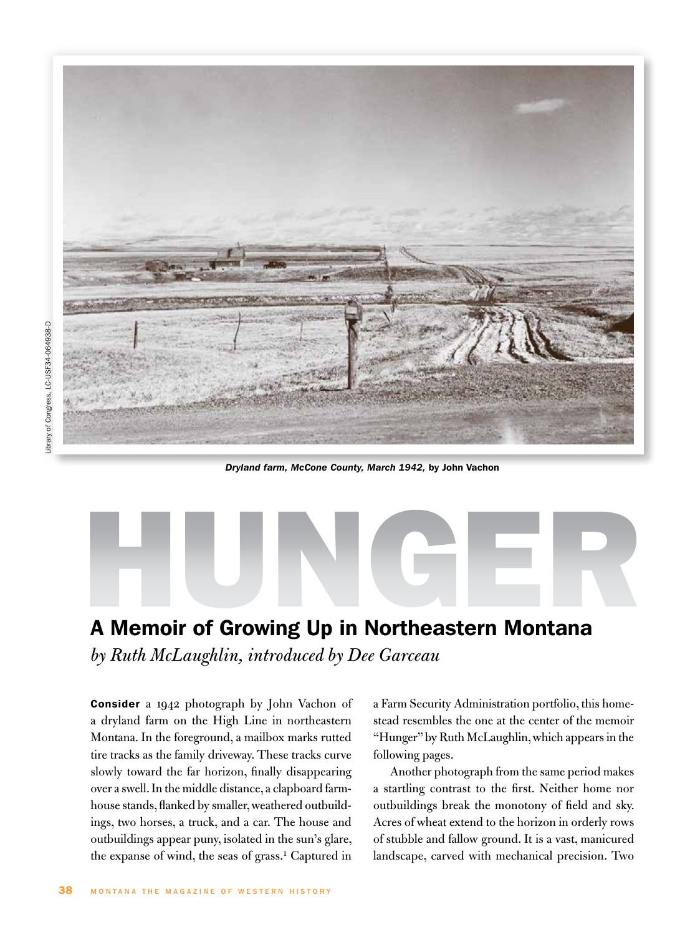

*Dryland farm, McCone County, March 1942,* by John Vachon

## HUNGER A Memoir of Growing Up in Northeastern Montana *by Ruth McLaughlin, introduced by Dee Garceau*

Consider a 1942 photograph by John Vachon of a dryland farm on the High Line in northeastern Montana. In the foreground, a mailbox marks rutted tire tracks as the family driveway. These tracks curve slowly toward the far horizon, finally disappearing over a swell. In the middle distance, a clapboard farmhouse stands, flanked by smaller, weathered outbuildings, two horses, a truck, and a car. The house and outbuildings appear puny, isolated in the sun's glare, the expanse of wind, the seas of grass.<sup>1</sup> Captured in a Farm Security Administration portfolio, this homestead resembles the one at the center of the memoir "Hunger" by Ruth McLaughlin, which appears in the following pages.

Another photograph from the same period makes a startling contrast to the first. Neither home nor outbuildings break the monotony of field and sky. Acres of wheat extend to the horizon in orderly rows of stubble and fallow ground. It is a vast, manicured landscape, carved with mechanical precision. Two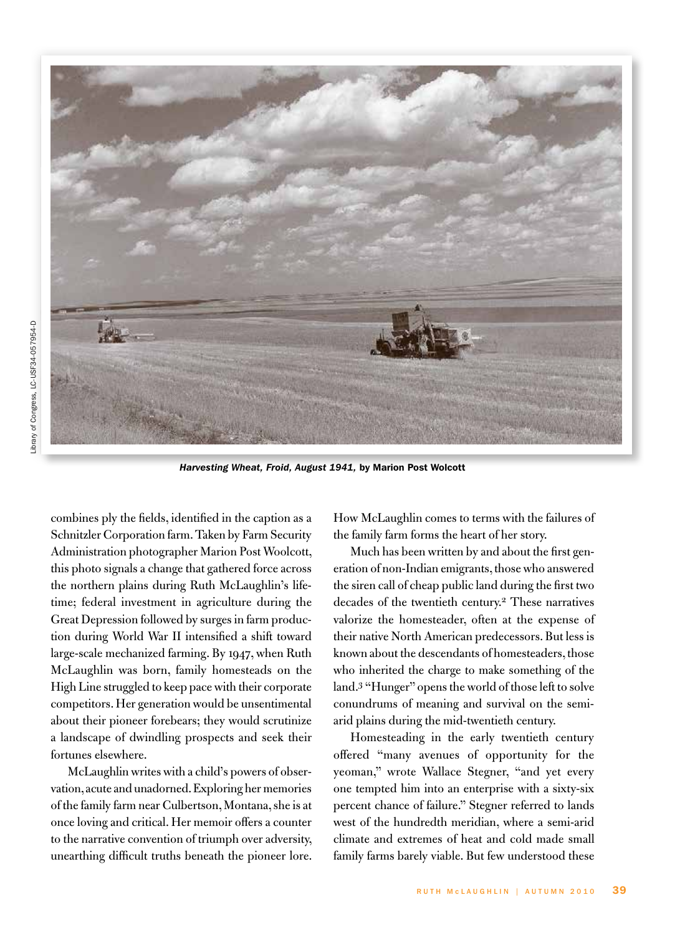

Library of Congress, LC-USF34-057954-D Library of Congress, LC-USF34-057954-D

*Harvesting Wheat, Froid, August 1941,* by Marion Post Wolcott

combines ply the fields, identified in the caption as a Schnitzler Corporation farm. Taken by Farm Security Administration photographer Marion Post Woolcott, this photo signals a change that gathered force across the northern plains during Ruth McLaughlin's lifetime; federal investment in agriculture during the Great Depression followed by surges in farm production during World War II intensified a shift toward large-scale mechanized farming. By 1947, when Ruth McLaughlin was born, family homesteads on the High Line struggled to keep pace with their corporate competitors. Her generation would be unsentimental about their pioneer forebears; they would scrutinize a landscape of dwindling prospects and seek their fortunes elsewhere.

McLaughlin writes with a child's powers of observation, acute and unadorned. Exploring her memories of the family farm near Culbertson, Montana, she is at once loving and critical. Her memoir offers a counter to the narrative convention of triumph over adversity, unearthing difficult truths beneath the pioneer lore.

How McLaughlin comes to terms with the failures of the family farm forms the heart of her story.

Much has been written by and about the first generation of non-Indian emigrants, those who answered the siren call of cheap public land during the first two decades of the twentieth century.<sup>2</sup> These narratives valorize the homesteader, often at the expense of their native North American predecessors. But less is known about the descendants of homesteaders, those who inherited the charge to make something of the land.3 "Hunger" opens the world of those left to solve conundrums of meaning and survival on the semiarid plains during the mid-twentieth century.

Homesteading in the early twentieth century offered "many avenues of opportunity for the yeoman," wrote Wallace Stegner, "and yet every one tempted him into an enterprise with a sixty-six percent chance of failure." Stegner referred to lands west of the hundredth meridian, where a semi-arid climate and extremes of heat and cold made small family farms barely viable. But few understood these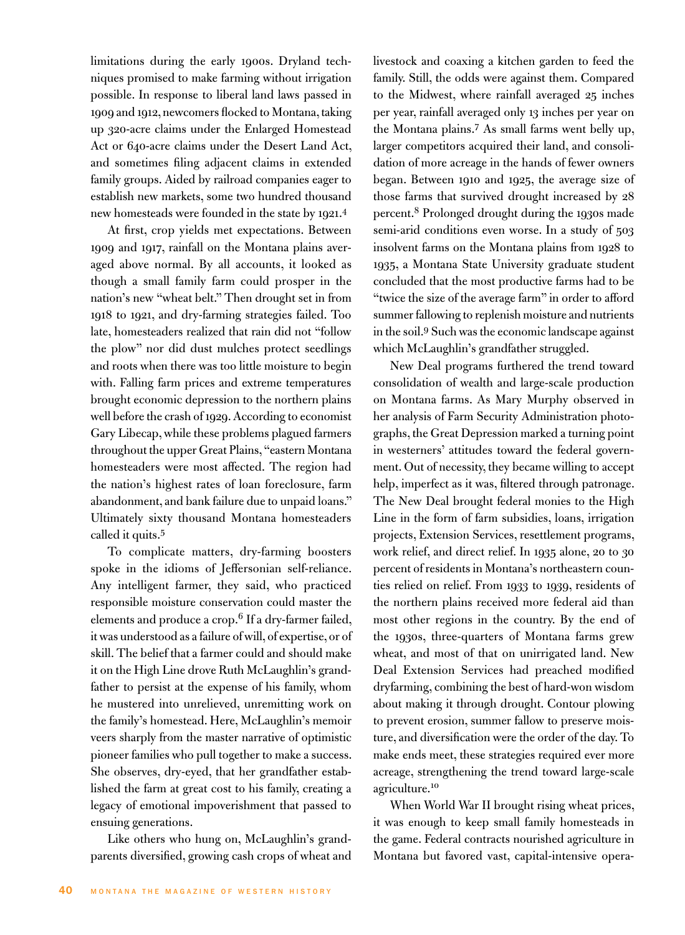limitations during the early 1900s. Dryland techniques promised to make farming without irrigation possible. In response to liberal land laws passed in 1909 and 1912, newcomers flocked to Montana, taking up 320-acre claims under the Enlarged Homestead Act or 640-acre claims under the Desert Land Act, and sometimes filing adjacent claims in extended family groups. Aided by railroad companies eager to establish new markets, some two hundred thousand new homesteads were founded in the state by 1921.4

At first, crop yields met expectations. Between 1909 and 1917, rainfall on the Montana plains averaged above normal. By all accounts, it looked as though a small family farm could prosper in the nation's new "wheat belt." Then drought set in from 1918 to 1921, and dry-farming strategies failed. Too late, homesteaders realized that rain did not "follow the plow" nor did dust mulches protect seedlings and roots when there was too little moisture to begin with. Falling farm prices and extreme temperatures brought economic depression to the northern plains well before the crash of 1929. According to economist Gary Libecap, while these problems plagued farmers throughout the upper Great Plains, "eastern Montana homesteaders were most affected. The region had the nation's highest rates of loan foreclosure, farm abandonment, and bank failure due to unpaid loans." Ultimately sixty thousand Montana homesteaders called it quits.5

To complicate matters, dry-farming boosters spoke in the idioms of Jeffersonian self-reliance. Any intelligent farmer, they said, who practiced responsible moisture conservation could master the elements and produce a crop.6 If a dry-farmer failed, it was understood as a failure of will, of expertise, or of skill. The belief that a farmer could and should make it on the High Line drove Ruth McLaughlin's grandfather to persist at the expense of his family, whom he mustered into unrelieved, unremitting work on the family's homestead. Here, McLaughlin's memoir veers sharply from the master narrative of optimistic pioneer families who pull together to make a success. She observes, dry-eyed, that her grandfather established the farm at great cost to his family, creating a legacy of emotional impoverishment that passed to ensuing generations.

Like others who hung on, McLaughlin's grandparents diversified, growing cash crops of wheat and livestock and coaxing a kitchen garden to feed the family. Still, the odds were against them. Compared to the Midwest, where rainfall averaged 25 inches per year, rainfall averaged only 13 inches per year on the Montana plains.7 As small farms went belly up, larger competitors acquired their land, and consolidation of more acreage in the hands of fewer owners began. Between 1910 and 1925, the average size of those farms that survived drought increased by 28 percent.8 Prolonged drought during the 1930s made semi-arid conditions even worse. In a study of 503 insolvent farms on the Montana plains from 1928 to 1935, a Montana State University graduate student concluded that the most productive farms had to be "twice the size of the average farm" in order to afford summer fallowing to replenish moisture and nutrients in the soil.9 Such was the economic landscape against which McLaughlin's grandfather struggled.

New Deal programs furthered the trend toward consolidation of wealth and large-scale production on Montana farms. As Mary Murphy observed in her analysis of Farm Security Administration photographs, the Great Depression marked a turning point in westerners' attitudes toward the federal government. Out of necessity, they became willing to accept help, imperfect as it was, filtered through patronage. The New Deal brought federal monies to the High Line in the form of farm subsidies, loans, irrigation projects, Extension Services, resettlement programs, work relief, and direct relief. In 1935 alone, 20 to 30 percent of residents in Montana's northeastern counties relied on relief. From 1933 to 1939, residents of the northern plains received more federal aid than most other regions in the country. By the end of the 1930s, three-quarters of Montana farms grew wheat, and most of that on unirrigated land. New Deal Extension Services had preached modified dryfarming, combining the best of hard-won wisdom about making it through drought. Contour plowing to prevent erosion, summer fallow to preserve moisture, and diversification were the order of the day. To make ends meet, these strategies required ever more acreage, strengthening the trend toward large-scale agriculture.10

When World War II brought rising wheat prices, it was enough to keep small family homesteads in the game. Federal contracts nourished agriculture in Montana but favored vast, capital-intensive opera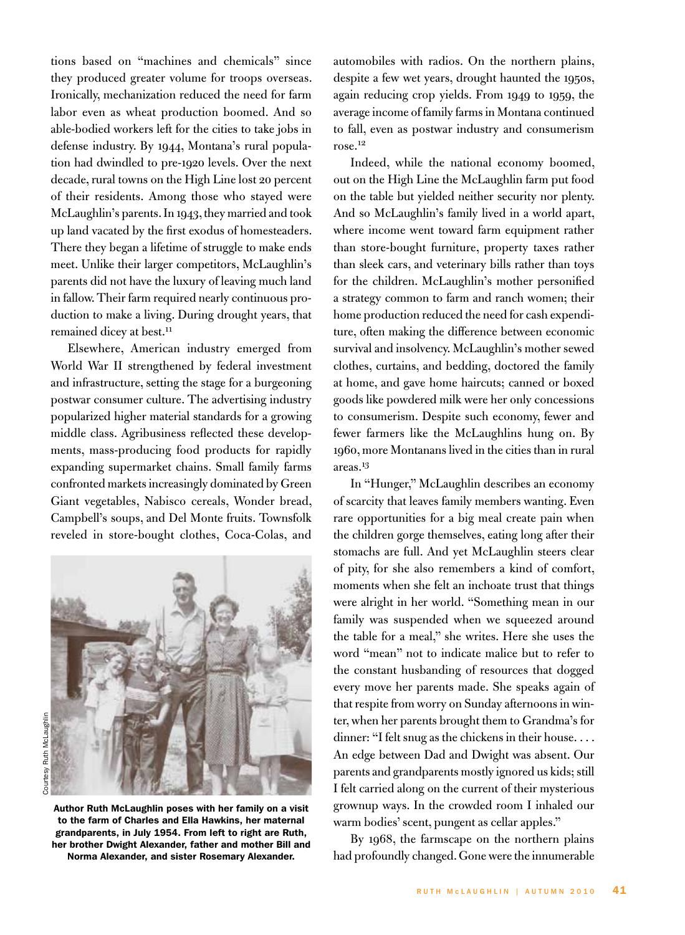tions based on "machines and chemicals" since they produced greater volume for troops overseas. Ironically, mechanization reduced the need for farm labor even as wheat production boomed. And so able-bodied workers left for the cities to take jobs in defense industry. By 1944, Montana's rural population had dwindled to pre-1920 levels. Over the next decade, rural towns on the High Line lost 20 percent of their residents. Among those who stayed were McLaughlin's parents. In 1943, they married and took up land vacated by the first exodus of homesteaders. There they began a lifetime of struggle to make ends meet. Unlike their larger competitors, McLaughlin's parents did not have the luxury of leaving much land in fallow. Their farm required nearly continuous production to make a living. During drought years, that remained dicey at best.<sup>11</sup>

Elsewhere, American industry emerged from World War II strengthened by federal investment and infrastructure, setting the stage for a burgeoning postwar consumer culture. The advertising industry popularized higher material standards for a growing middle class. Agribusiness reflected these developments, mass-producing food products for rapidly expanding supermarket chains. Small family farms confronted markets increasingly dominated by Green Giant vegetables, Nabisco cereals, Wonder bread, Campbell's soups, and Del Monte fruits. Townsfolk reveled in store-bought clothes, Coca-Colas, and



Author Ruth McLaughlin poses with her family on a visit to the farm of Charles and Ella Hawkins, her maternal grandparents, in July 1954. From left to right are Ruth, her brother Dwight Alexander, father and mother Bill and Norma Alexander, and sister Rosemary Alexander.

automobiles with radios. On the northern plains, despite a few wet years, drought haunted the 1950s, again reducing crop yields. From 1949 to 1959, the average income of family farms in Montana continued to fall, even as postwar industry and consumerism rose.12

Indeed, while the national economy boomed, out on the High Line the McLaughlin farm put food on the table but yielded neither security nor plenty. And so McLaughlin's family lived in a world apart, where income went toward farm equipment rather than store-bought furniture, property taxes rather than sleek cars, and veterinary bills rather than toys for the children. McLaughlin's mother personified a strategy common to farm and ranch women; their home production reduced the need for cash expenditure, often making the difference between economic survival and insolvency. McLaughlin's mother sewed clothes, curtains, and bedding, doctored the family at home, and gave home haircuts; canned or boxed goods like powdered milk were her only concessions to consumerism. Despite such economy, fewer and fewer farmers like the McLaughlins hung on. By 1960, more Montanans lived in the cities than in rural areas.13

In "Hunger," McLaughlin describes an economy of scarcity that leaves family members wanting. Even rare opportunities for a big meal create pain when the children gorge themselves, eating long after their stomachs are full. And yet McLaughlin steers clear of pity, for she also remembers a kind of comfort, moments when she felt an inchoate trust that things were alright in her world. "Something mean in our family was suspended when we squeezed around the table for a meal," she writes. Here she uses the word "mean" not to indicate malice but to refer to the constant husbanding of resources that dogged every move her parents made. She speaks again of that respite from worry on Sunday afternoons in winter, when her parents brought them to Grandma's for dinner: "I felt snug as the chickens in their house. . . . An edge between Dad and Dwight was absent. Our parents and grandparents mostly ignored us kids; still I felt carried along on the current of their mysterious grownup ways. In the crowded room I inhaled our warm bodies' scent, pungent as cellar apples."

By 1968, the farmscape on the northern plains had profoundly changed. Gone were the innumerable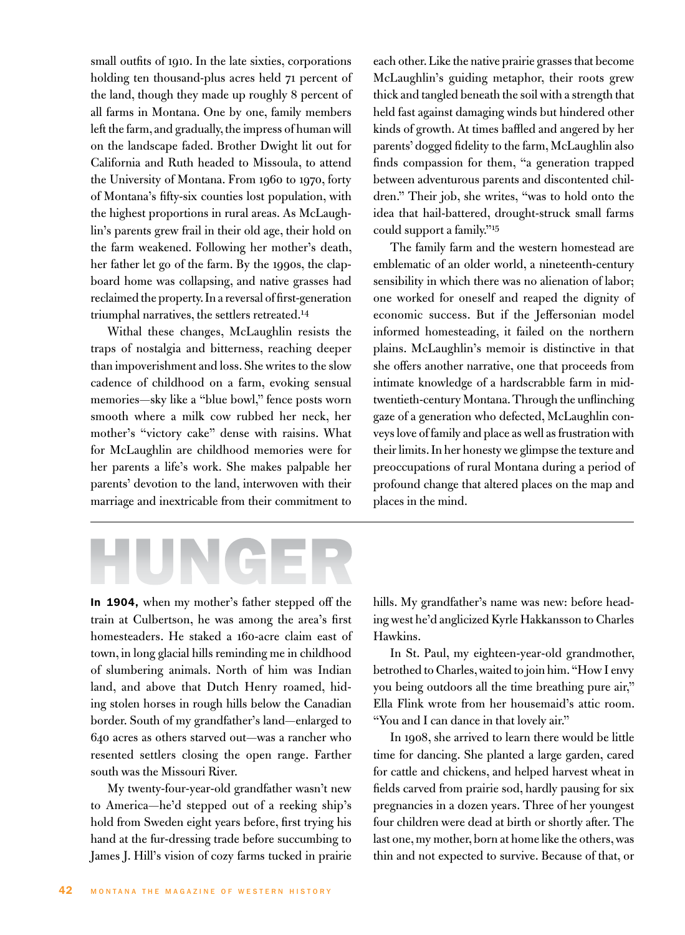small outfits of 1910. In the late sixties, corporations holding ten thousand-plus acres held 71 percent of the land, though they made up roughly 8 percent of all farms in Montana. One by one, family members left the farm, and gradually, the impress of human will on the landscape faded. Brother Dwight lit out for California and Ruth headed to Missoula, to attend the University of Montana. From 1960 to 1970, forty of Montana's fifty-six counties lost population, with the highest proportions in rural areas. As McLaughlin's parents grew frail in their old age, their hold on the farm weakened. Following her mother's death, her father let go of the farm. By the 1990s, the clapboard home was collapsing, and native grasses had reclaimed the property. In a reversal of first-generation triumphal narratives, the settlers retreated.14

Withal these changes, McLaughlin resists the traps of nostalgia and bitterness, reaching deeper than impoverishment and loss. She writes to the slow cadence of childhood on a farm, evoking sensual memories—sky like a "blue bowl," fence posts worn smooth where a milk cow rubbed her neck, her mother's "victory cake" dense with raisins. What for McLaughlin are childhood memories were for her parents a life's work. She makes palpable her parents' devotion to the land, interwoven with their marriage and inextricable from their commitment to

each other. Like the native prairie grasses that become McLaughlin's guiding metaphor, their roots grew thick and tangled beneath the soil with a strength that held fast against damaging winds but hindered other kinds of growth. At times baffled and angered by her parents' dogged fidelity to the farm, McLaughlin also finds compassion for them, "a generation trapped between adventurous parents and discontented children." Their job, she writes, "was to hold onto the idea that hail-battered, drought-struck small farms could support a family."15

The family farm and the western homestead are emblematic of an older world, a nineteenth-century sensibility in which there was no alienation of labor; one worked for oneself and reaped the dignity of economic success. But if the Jeffersonian model informed homesteading, it failed on the northern plains. McLaughlin's memoir is distinctive in that she offers another narrative, one that proceeds from intimate knowledge of a hardscrabble farm in midtwentieth-century Montana. Through the unflinching gaze of a generation who defected, McLaughlin conveys love of family and place as well as frustration with their limits. In her honesty we glimpse the texture and preoccupations of rural Montana during a period of profound change that altered places on the map and places in the mind.

## HUNGER

In 1904, when my mother's father stepped off the train at Culbertson, he was among the area's first homesteaders. He staked a 160-acre claim east of town, in long glacial hills reminding me in childhood of slumbering animals. North of him was Indian land, and above that Dutch Henry roamed, hiding stolen horses in rough hills below the Canadian border. South of my grandfather's land—enlarged to 640 acres as others starved out—was a rancher who resented settlers closing the open range. Farther south was the Missouri River.

My twenty-four-year-old grandfather wasn't new to America—he'd stepped out of a reeking ship's hold from Sweden eight years before, first trying his hand at the fur-dressing trade before succumbing to James J. Hill's vision of cozy farms tucked in prairie hills. My grandfather's name was new: before heading west he'd anglicized Kyrle Hakkansson to Charles Hawkins.

In St. Paul, my eighteen-year-old grandmother, betrothed to Charles, waited to join him. "How I envy you being outdoors all the time breathing pure air," Ella Flink wrote from her housemaid's attic room. "You and I can dance in that lovely air."

In 1908, she arrived to learn there would be little time for dancing. She planted a large garden, cared for cattle and chickens, and helped harvest wheat in fields carved from prairie sod, hardly pausing for six pregnancies in a dozen years. Three of her youngest four children were dead at birth or shortly after. The last one, my mother, born at home like the others, was thin and not expected to survive. Because of that, or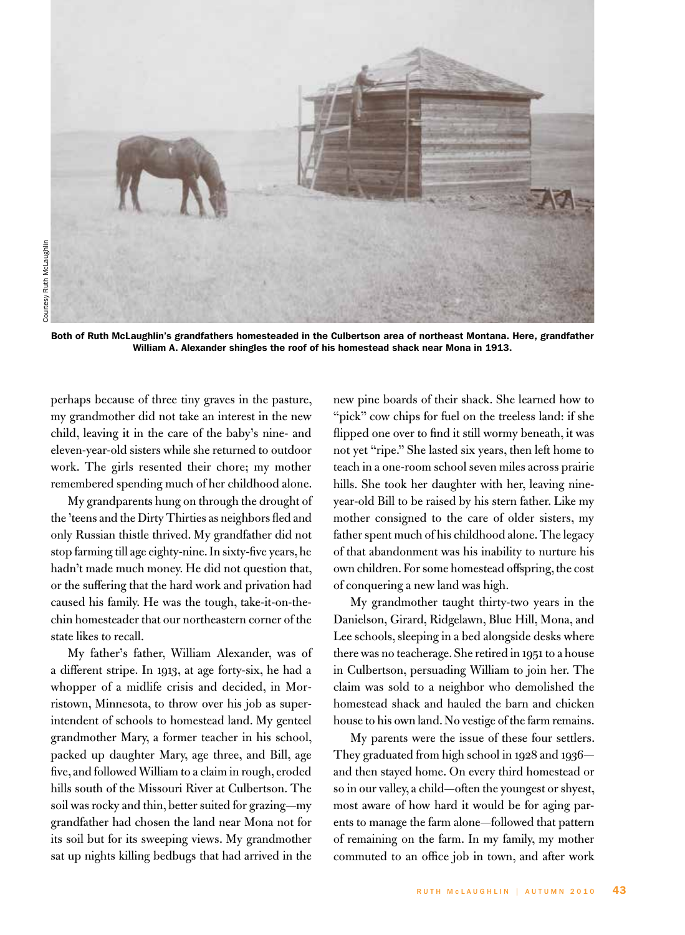

Both of Ruth McLaughlin's grandfathers homesteaded in the Culbertson area of northeast Montana. Here, grandfather William A. Alexander shingles the roof of his homestead shack near Mona in 1913.

perhaps because of three tiny graves in the pasture, my grandmother did not take an interest in the new child, leaving it in the care of the baby's nine- and eleven-year-old sisters while she returned to outdoor work. The girls resented their chore; my mother remembered spending much of her childhood alone.

My grandparents hung on through the drought of the 'teens and the Dirty Thirties as neighbors fled and only Russian thistle thrived. My grandfather did not stop farming till age eighty-nine. In sixty-five years, he hadn't made much money. He did not question that, or the suffering that the hard work and privation had caused his family. He was the tough, take-it-on-thechin homesteader that our northeastern corner of the state likes to recall.

My father's father, William Alexander, was of a different stripe. In 1913, at age forty-six, he had a whopper of a midlife crisis and decided, in Morristown, Minnesota, to throw over his job as superintendent of schools to homestead land. My genteel grandmother Mary, a former teacher in his school, packed up daughter Mary, age three, and Bill, age five, and followed William to a claim in rough, eroded hills south of the Missouri River at Culbertson. The soil was rocky and thin, better suited for grazing—my grandfather had chosen the land near Mona not for its soil but for its sweeping views. My grandmother sat up nights killing bedbugs that had arrived in the

new pine boards of their shack. She learned how to "pick" cow chips for fuel on the treeless land: if she flipped one over to find it still wormy beneath, it was not yet "ripe." She lasted six years, then left home to teach in a one-room school seven miles across prairie hills. She took her daughter with her, leaving nineyear-old Bill to be raised by his stern father. Like my mother consigned to the care of older sisters, my father spent much of his childhood alone. The legacy of that abandonment was his inability to nurture his own children. For some homestead offspring, the cost of conquering a new land was high.

My grandmother taught thirty-two years in the Danielson, Girard, Ridgelawn, Blue Hill, Mona, and Lee schools, sleeping in a bed alongside desks where there was no teacherage. She retired in 1951 to a house in Culbertson, persuading William to join her. The claim was sold to a neighbor who demolished the homestead shack and hauled the barn and chicken house to his own land. No vestige of the farm remains.

My parents were the issue of these four settlers. They graduated from high school in 1928 and 1936 and then stayed home. On every third homestead or so in our valley, a child—often the youngest or shyest, most aware of how hard it would be for aging parents to manage the farm alone—followed that pattern of remaining on the farm. In my family, my mother commuted to an office job in town, and after work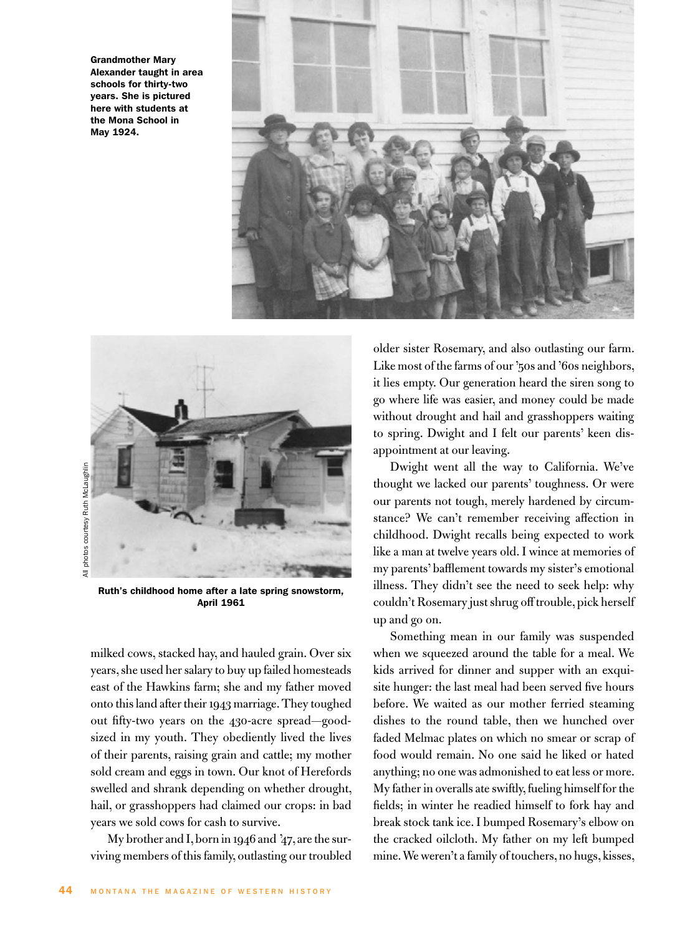Grandmother Mary Alexander taught in area schools for thirty-two years. She is pictured here with students at the Mona School in May 1924.





Ruth's childhood home after a late spring snowstorm, April 1961

milked cows, stacked hay, and hauled grain. Over six years, she used her salary to buy up failed homesteads east of the Hawkins farm; she and my father moved onto this land after their 1943 marriage. They toughed out fifty-two years on the 430-acre spread—goodsized in my youth. They obediently lived the lives of their parents, raising grain and cattle; my mother sold cream and eggs in town. Our knot of Herefords swelled and shrank depending on whether drought, hail, or grasshoppers had claimed our crops: in bad years we sold cows for cash to survive.

My brother and I, born in 1946 and '47, are the surviving members of this family, outlasting our troubled

older sister Rosemary, and also outlasting our farm. Like most of the farms of our '50s and '60s neighbors, it lies empty. Our generation heard the siren song to go where life was easier, and money could be made without drought and hail and grasshoppers waiting to spring. Dwight and I felt our parents' keen disappointment at our leaving.

Dwight went all the way to California. We've thought we lacked our parents' toughness. Or were our parents not tough, merely hardened by circumstance? We can't remember receiving affection in childhood. Dwight recalls being expected to work like a man at twelve years old. I wince at memories of my parents' bafflement towards my sister's emotional illness. They didn't see the need to seek help: why couldn't Rosemary just shrug off trouble, pick herself up and go on.

Something mean in our family was suspended when we squeezed around the table for a meal. We kids arrived for dinner and supper with an exquisite hunger: the last meal had been served five hours before. We waited as our mother ferried steaming dishes to the round table, then we hunched over faded Melmac plates on which no smear or scrap of food would remain. No one said he liked or hated anything; no one was admonished to eat less or more. My father in overalls ate swiftly, fueling himself for the fields; in winter he readied himself to fork hay and break stock tank ice. I bumped Rosemary's elbow on the cracked oilcloth. My father on my left bumped mine. We weren't a family of touchers, no hugs, kisses,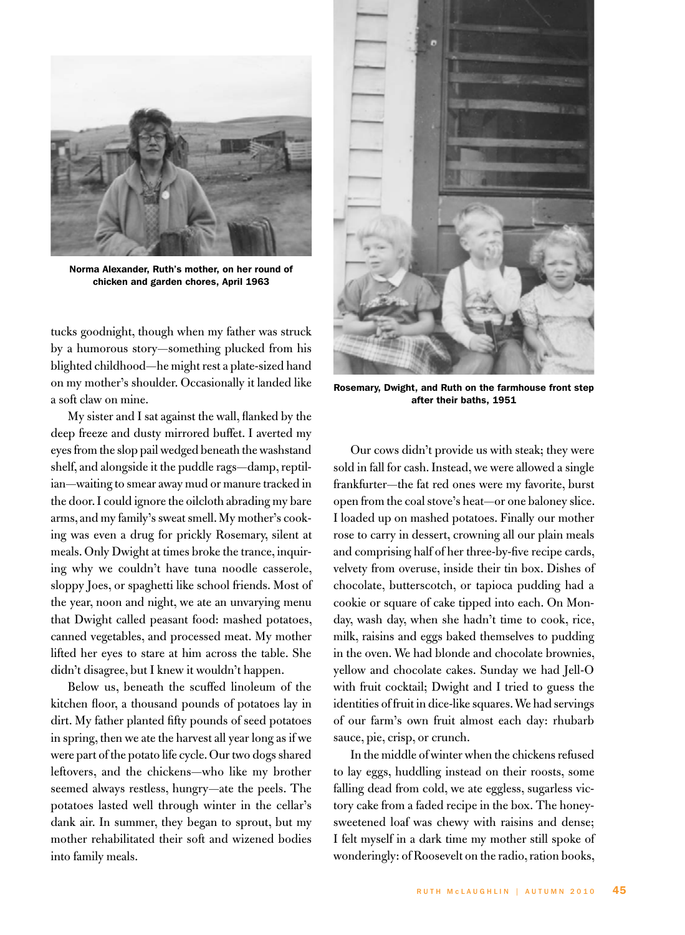

Norma Alexander, Ruth's mother, on her round of chicken and garden chores, April 1963

tucks goodnight, though when my father was struck by a humorous story—something plucked from his blighted childhood—he might rest a plate-sized hand on my mother's shoulder. Occasionally it landed like a soft claw on mine.

My sister and I sat against the wall, flanked by the deep freeze and dusty mirrored buffet. I averted my eyes from the slop pail wedged beneath the washstand shelf, and alongside it the puddle rags—damp, reptilian—waiting to smear away mud or manure tracked in the door. I could ignore the oilcloth abrading my bare arms, and my family's sweat smell. My mother's cooking was even a drug for prickly Rosemary, silent at meals. Only Dwight at times broke the trance, inquiring why we couldn't have tuna noodle casserole, sloppy Joes, or spaghetti like school friends. Most of the year, noon and night, we ate an unvarying menu that Dwight called peasant food: mashed potatoes, canned vegetables, and processed meat. My mother lifted her eyes to stare at him across the table. She didn't disagree, but I knew it wouldn't happen.

Below us, beneath the scuffed linoleum of the kitchen floor, a thousand pounds of potatoes lay in dirt. My father planted fifty pounds of seed potatoes in spring, then we ate the harvest all year long as if we were part of the potato life cycle. Our two dogs shared leftovers, and the chickens—who like my brother seemed always restless, hungry—ate the peels. The potatoes lasted well through winter in the cellar's dank air. In summer, they began to sprout, but my mother rehabilitated their soft and wizened bodies into family meals.



Rosemary, Dwight, and Ruth on the farmhouse front step after their baths, 1951

Our cows didn't provide us with steak; they were sold in fall for cash. Instead, we were allowed a single frankfurter—the fat red ones were my favorite, burst open from the coal stove's heat—or one baloney slice. I loaded up on mashed potatoes. Finally our mother rose to carry in dessert, crowning all our plain meals and comprising half of her three-by-five recipe cards, velvety from overuse, inside their tin box. Dishes of chocolate, butterscotch, or tapioca pudding had a cookie or square of cake tipped into each. On Monday, wash day, when she hadn't time to cook, rice, milk, raisins and eggs baked themselves to pudding in the oven. We had blonde and chocolate brownies, yellow and chocolate cakes. Sunday we had Jell-O with fruit cocktail; Dwight and I tried to guess the identities of fruit in dice-like squares. We had servings of our farm's own fruit almost each day: rhubarb sauce, pie, crisp, or crunch.

In the middle of winter when the chickens refused to lay eggs, huddling instead on their roosts, some falling dead from cold, we ate eggless, sugarless victory cake from a faded recipe in the box. The honeysweetened loaf was chewy with raisins and dense; I felt myself in a dark time my mother still spoke of wonderingly: of Roosevelt on the radio, ration books,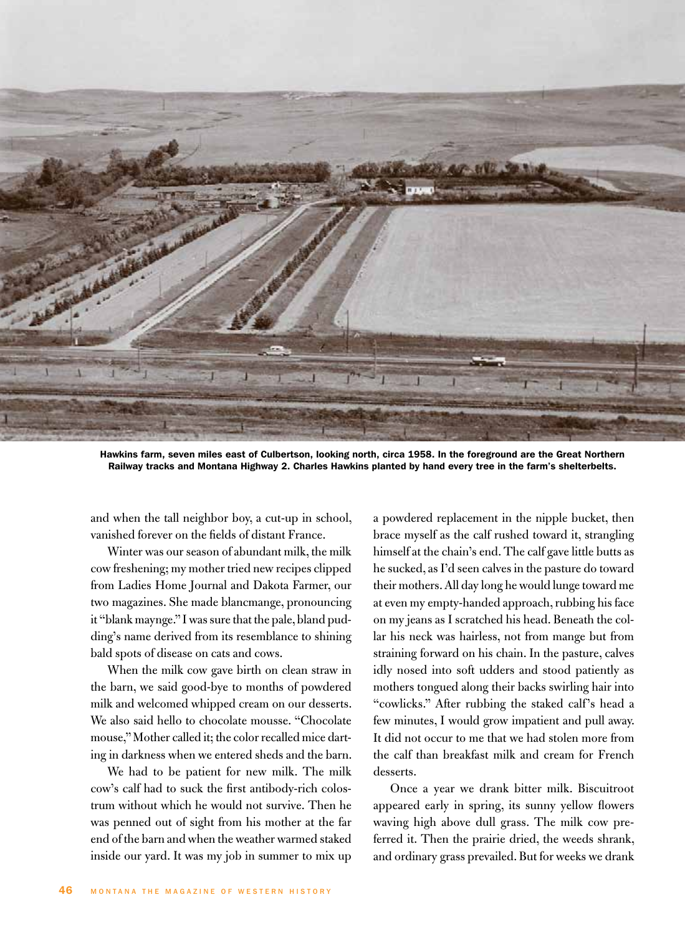

Hawkins farm, seven miles east of Culbertson, looking north, circa 1958. In the foreground are the Great Northern Railway tracks and Montana Highway 2. Charles Hawkins planted by hand every tree in the farm's shelterbelts.

and when the tall neighbor boy, a cut-up in school, vanished forever on the fields of distant France.

Winter was our season of abundant milk, the milk cow freshening; my mother tried new recipes clipped from Ladies Home Journal and Dakota Farmer, our two magazines. She made blancmange, pronouncing it "blank maynge." I was sure that the pale, bland pudding's name derived from its resemblance to shining bald spots of disease on cats and cows.

When the milk cow gave birth on clean straw in the barn, we said good-bye to months of powdered milk and welcomed whipped cream on our desserts. We also said hello to chocolate mousse. "Chocolate mouse," Mother called it; the color recalled mice darting in darkness when we entered sheds and the barn.

We had to be patient for new milk. The milk cow's calf had to suck the first antibody-rich colostrum without which he would not survive. Then he was penned out of sight from his mother at the far end of the barn and when the weather warmed staked inside our yard. It was my job in summer to mix up a powdered replacement in the nipple bucket, then brace myself as the calf rushed toward it, strangling himself at the chain's end. The calf gave little butts as he sucked, as I'd seen calves in the pasture do toward their mothers. All day long he would lunge toward me at even my empty-handed approach, rubbing his face on my jeans as I scratched his head. Beneath the collar his neck was hairless, not from mange but from straining forward on his chain. In the pasture, calves idly nosed into soft udders and stood patiently as mothers tongued along their backs swirling hair into "cowlicks." After rubbing the staked calf's head a few minutes, I would grow impatient and pull away. It did not occur to me that we had stolen more from the calf than breakfast milk and cream for French desserts.

Once a year we drank bitter milk. Biscuitroot appeared early in spring, its sunny yellow flowers waving high above dull grass. The milk cow preferred it. Then the prairie dried, the weeds shrank, and ordinary grass prevailed. But for weeks we drank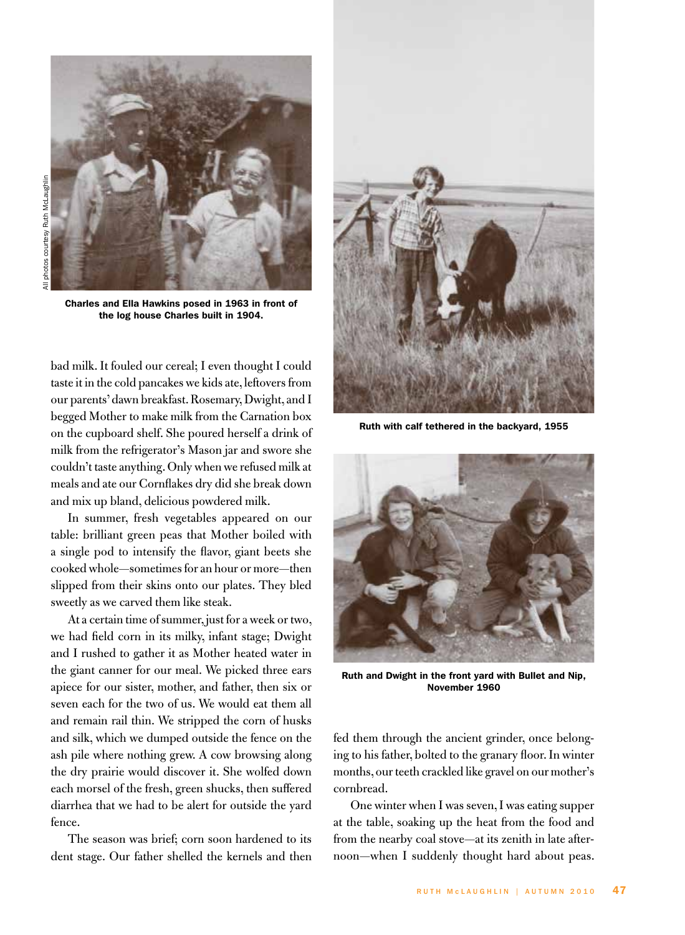

Charles and Ella Hawkins posed in 1963 in front of the log house Charles built in 1904.

bad milk. It fouled our cereal; I even thought I could taste it in the cold pancakes we kids ate, leftovers from our parents' dawn breakfast. Rosemary, Dwight, and I begged Mother to make milk from the Carnation box on the cupboard shelf. She poured herself a drink of milk from the refrigerator's Mason jar and swore she couldn't taste anything. Only when we refused milk at meals and ate our Cornflakes dry did she break down and mix up bland, delicious powdered milk.

In summer, fresh vegetables appeared on our table: brilliant green peas that Mother boiled with a single pod to intensify the flavor, giant beets she cooked whole—sometimes for an hour or more—then slipped from their skins onto our plates. They bled sweetly as we carved them like steak.

At a certain time of summer, just for a week or two, we had field corn in its milky, infant stage; Dwight and I rushed to gather it as Mother heated water in the giant canner for our meal. We picked three ears apiece for our sister, mother, and father, then six or seven each for the two of us. We would eat them all and remain rail thin. We stripped the corn of husks and silk, which we dumped outside the fence on the ash pile where nothing grew. A cow browsing along the dry prairie would discover it. She wolfed down each morsel of the fresh, green shucks, then suffered diarrhea that we had to be alert for outside the yard fence.

The season was brief; corn soon hardened to its dent stage. Our father shelled the kernels and then



Ruth with calf tethered in the backyard, 1955



Ruth and Dwight in the front yard with Bullet and Nip, November 1960

fed them through the ancient grinder, once belonging to his father, bolted to the granary floor. In winter months, our teeth crackled like gravel on our mother's cornbread.

One winter when I was seven, I was eating supper at the table, soaking up the heat from the food and from the nearby coal stove—at its zenith in late afternoon—when I suddenly thought hard about peas.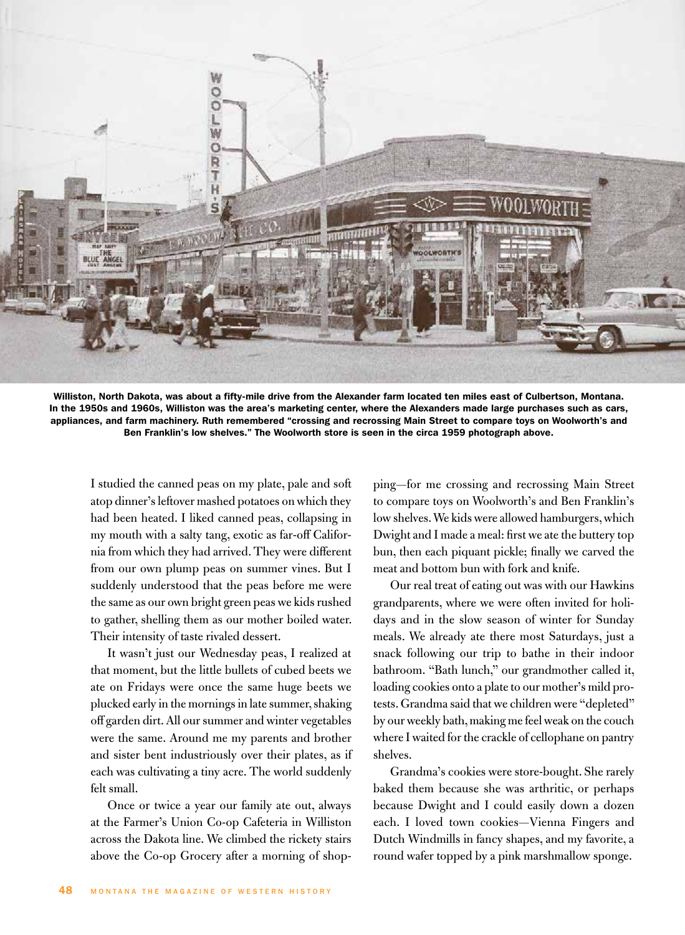

Williston, North Dakota, was about a fifty-mile drive from the Alexander farm located ten miles east of Culbertson, Montana. In the 1950s and 1960s, Williston was the area's marketing center, where the Alexanders made large purchases such as cars, appliances, and farm machinery. Ruth remembered "crossing and recrossing Main Street to compare toys on Woolworth's and Ben Franklin's low shelves." The Woolworth store is seen in the circa 1959 photograph above.

I studied the canned peas on my plate, pale and soft atop dinner's leftover mashed potatoes on which they had been heated. I liked canned peas, collapsing in my mouth with a salty tang, exotic as far-off California from which they had arrived. They were different from our own plump peas on summer vines. But I suddenly understood that the peas before me were the same as our own bright green peas we kids rushed to gather, shelling them as our mother boiled water. Their intensity of taste rivaled dessert.

It wasn't just our Wednesday peas, I realized at that moment, but the little bullets of cubed beets we ate on Fridays were once the same huge beets we plucked early in the mornings in late summer, shaking off garden dirt. All our summer and winter vegetables were the same. Around me my parents and brother and sister bent industriously over their plates, as if each was cultivating a tiny acre. The world suddenly felt small.

Once or twice a year our family ate out, always at the Farmer's Union Co-op Cafeteria in Williston across the Dakota line. We climbed the rickety stairs above the Co-op Grocery after a morning of shopping—for me crossing and recrossing Main Street to compare toys on Woolworth's and Ben Franklin's low shelves. We kids were allowed hamburgers, which Dwight and I made a meal: first we ate the buttery top bun, then each piquant pickle; finally we carved the meat and bottom bun with fork and knife.

Our real treat of eating out was with our Hawkins grandparents, where we were often invited for holidays and in the slow season of winter for Sunday meals. We already ate there most Saturdays, just a snack following our trip to bathe in their indoor bathroom. "Bath lunch," our grandmother called it, loading cookies onto a plate to our mother's mild protests. Grandma said that we children were "depleted" by our weekly bath, making me feel weak on the couch where I waited for the crackle of cellophane on pantry shelves.

Grandma's cookies were store-bought. She rarely baked them because she was arthritic, or perhaps because Dwight and I could easily down a dozen each. I loved town cookies—Vienna Fingers and Dutch Windmills in fancy shapes, and my favorite, a round wafer topped by a pink marshmallow sponge.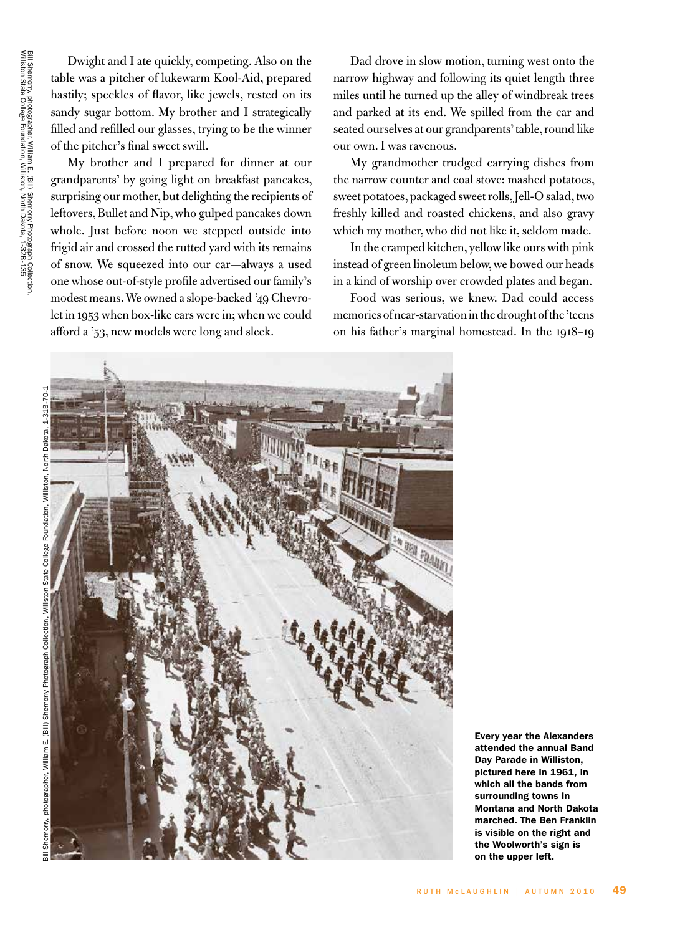Dwight and I ate quickly, competing. Also on the table was a pitcher of lukewarm Kool-Aid, prepared hastily; speckles of flavor, like jewels, rested on its sandy sugar bottom. My brother and I strategically filled and refilled our glasses, trying to be the winner of the pitcher's final sweet swill.

My brother and I prepared for dinner at our grandparents' by going light on breakfast pancakes, surprising our mother, but delighting the recipients of leftovers, Bullet and Nip, who gulped pancakes down whole. Just before noon we stepped outside into frigid air and crossed the rutted yard with its remains of snow. We squeezed into our car—always a used one whose out-of-style profile advertised our family's modest means. We owned a slope-backed '49 Chevrolet in 1953 when box-like cars were in; when we could afford a '53, new models were long and sleek.

Dad drove in slow motion, turning west onto the narrow highway and following its quiet length three miles until he turned up the alley of windbreak trees and parked at its end. We spilled from the car and seated ourselves at our grandparents' table, round like our own. I was ravenous.

My grandmother trudged carrying dishes from the narrow counter and coal stove: mashed potatoes, sweet potatoes, packaged sweet rolls, Jell-O salad, two freshly killed and roasted chickens, and also gravy which my mother, who did not like it, seldom made.

In the cramped kitchen, yellow like ours with pink instead of green linoleum below, we bowed our heads in a kind of worship over crowded plates and began.

Food was serious, we knew. Dad could access memories of near-starvation in the drought of the 'teens on his father's marginal homestead. In the 1918–19



Every year the Alexanders attended the annual Band Day Parade in Williston, pictured here in 1961, in which all the bands from surrounding towns in Montana and North Dakota marched. The Ben Franklin is visible on the right and the Woolworth's sign is on the upper left.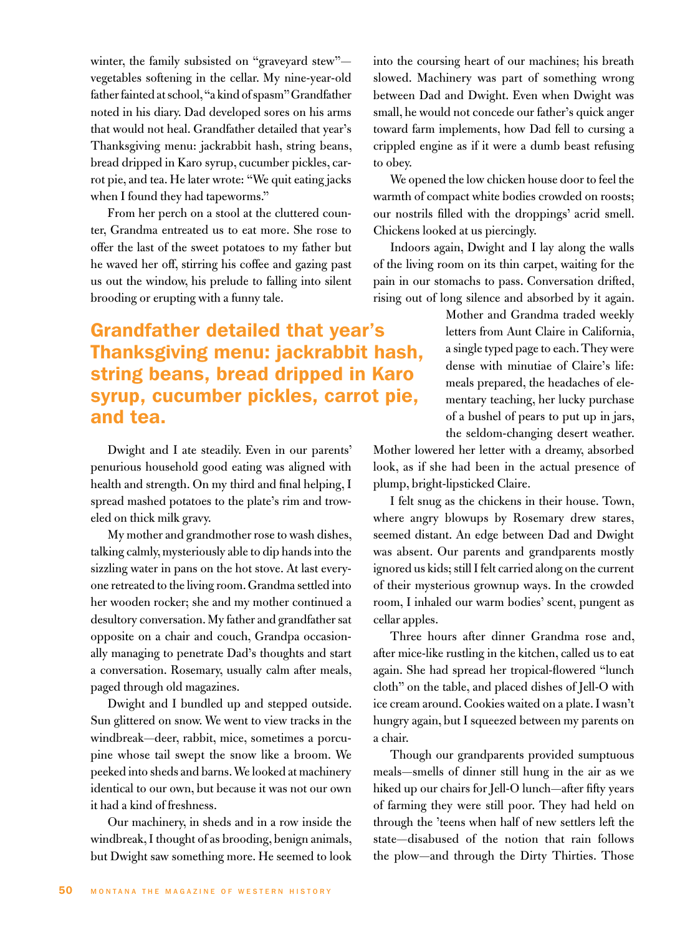winter, the family subsisted on "graveyard stew" vegetables softening in the cellar. My nine-year-old father fainted at school, "a kind of spasm" Grandfather noted in his diary. Dad developed sores on his arms that would not heal. Grandfather detailed that year's Thanksgiving menu: jackrabbit hash, string beans, bread dripped in Karo syrup, cucumber pickles, carrot pie, and tea. He later wrote: "We quit eating jacks when I found they had tapeworms."

From her perch on a stool at the cluttered counter, Grandma entreated us to eat more. She rose to offer the last of the sweet potatoes to my father but he waved her off, stirring his coffee and gazing past us out the window, his prelude to falling into silent brooding or erupting with a funny tale.

## Grandfather detailed that year's Thanksgiving menu: jackrabbit hash, string beans, bread dripped in Karo syrup, cucumber pickles, carrot pie, and tea.

Dwight and I ate steadily. Even in our parents' penurious household good eating was aligned with health and strength. On my third and final helping, I spread mashed potatoes to the plate's rim and troweled on thick milk gravy.

My mother and grandmother rose to wash dishes, talking calmly, mysteriously able to dip hands into the sizzling water in pans on the hot stove. At last everyone retreated to the living room. Grandma settled into her wooden rocker; she and my mother continued a desultory conversation. My father and grandfather sat opposite on a chair and couch, Grandpa occasionally managing to penetrate Dad's thoughts and start a conversation. Rosemary, usually calm after meals, paged through old magazines.

Dwight and I bundled up and stepped outside. Sun glittered on snow. We went to view tracks in the windbreak—deer, rabbit, mice, sometimes a porcupine whose tail swept the snow like a broom. We peeked into sheds and barns. We looked at machinery identical to our own, but because it was not our own it had a kind of freshness.

Our machinery, in sheds and in a row inside the windbreak, I thought of as brooding, benign animals, but Dwight saw something more. He seemed to look

into the coursing heart of our machines; his breath slowed. Machinery was part of something wrong between Dad and Dwight. Even when Dwight was small, he would not concede our father's quick anger toward farm implements, how Dad fell to cursing a crippled engine as if it were a dumb beast refusing to obey.

We opened the low chicken house door to feel the warmth of compact white bodies crowded on roosts; our nostrils filled with the droppings' acrid smell. Chickens looked at us piercingly.

Indoors again, Dwight and I lay along the walls of the living room on its thin carpet, waiting for the pain in our stomachs to pass. Conversation drifted, rising out of long silence and absorbed by it again.

> Mother and Grandma traded weekly letters from Aunt Claire in California, a single typed page to each. They were dense with minutiae of Claire's life: meals prepared, the headaches of elementary teaching, her lucky purchase of a bushel of pears to put up in jars, the seldom-changing desert weather.

Mother lowered her letter with a dreamy, absorbed look, as if she had been in the actual presence of plump, bright-lipsticked Claire.

I felt snug as the chickens in their house. Town, where angry blowups by Rosemary drew stares, seemed distant. An edge between Dad and Dwight was absent. Our parents and grandparents mostly ignored us kids; still I felt carried along on the current of their mysterious grownup ways. In the crowded room, I inhaled our warm bodies' scent, pungent as cellar apples.

Three hours after dinner Grandma rose and, after mice-like rustling in the kitchen, called us to eat again. She had spread her tropical-flowered "lunch cloth" on the table, and placed dishes of Jell-O with ice cream around. Cookies waited on a plate. I wasn't hungry again, but I squeezed between my parents on a chair.

Though our grandparents provided sumptuous meals—smells of dinner still hung in the air as we hiked up our chairs for Jell-O lunch—after fifty years of farming they were still poor. They had held on through the 'teens when half of new settlers left the state—disabused of the notion that rain follows the plow—and through the Dirty Thirties. Those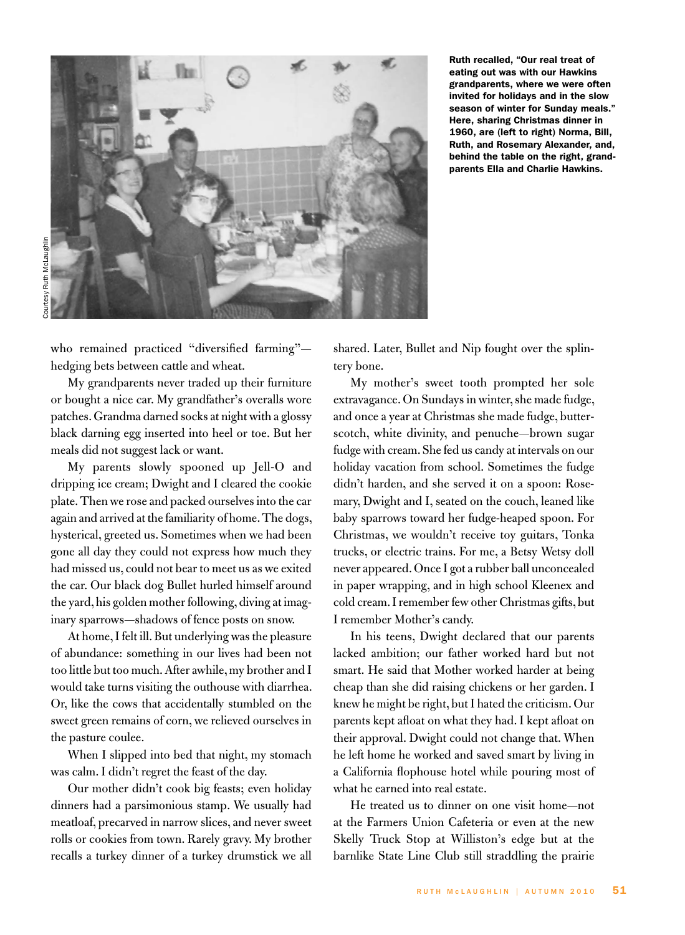

Ruth recalled, "Our real treat of eating out was with our Hawkins grandparents, where we were often invited for holidays and in the slow season of winter for Sunday meals." Here, sharing Christmas dinner in 1960, are (left to right) Norma, Bill, Ruth, and Rosemary Alexander, and, behind the table on the right, grandparents Ella and Charlie Hawkins.

who remained practiced "diversified farming" hedging bets between cattle and wheat.

My grandparents never traded up their furniture or bought a nice car. My grandfather's overalls wore patches. Grandma darned socks at night with a glossy black darning egg inserted into heel or toe. But her meals did not suggest lack or want.

My parents slowly spooned up Jell-O and dripping ice cream; Dwight and I cleared the cookie plate. Then we rose and packed ourselves into the car again and arrived at the familiarity of home. The dogs, hysterical, greeted us. Sometimes when we had been gone all day they could not express how much they had missed us, could not bear to meet us as we exited the car. Our black dog Bullet hurled himself around the yard, his golden mother following, diving at imaginary sparrows—shadows of fence posts on snow.

At home, I felt ill. But underlying was the pleasure of abundance: something in our lives had been not too little but too much. After awhile, my brother and I would take turns visiting the outhouse with diarrhea. Or, like the cows that accidentally stumbled on the sweet green remains of corn, we relieved ourselves in the pasture coulee.

When I slipped into bed that night, my stomach was calm. I didn't regret the feast of the day.

Our mother didn't cook big feasts; even holiday dinners had a parsimonious stamp. We usually had meatloaf, precarved in narrow slices, and never sweet rolls or cookies from town. Rarely gravy. My brother recalls a turkey dinner of a turkey drumstick we all shared. Later, Bullet and Nip fought over the splintery bone.

My mother's sweet tooth prompted her sole extravagance. On Sundays in winter, she made fudge, and once a year at Christmas she made fudge, butterscotch, white divinity, and penuche—brown sugar fudge with cream. She fed us candy at intervals on our holiday vacation from school. Sometimes the fudge didn't harden, and she served it on a spoon: Rosemary, Dwight and I, seated on the couch, leaned like baby sparrows toward her fudge-heaped spoon. For Christmas, we wouldn't receive toy guitars, Tonka trucks, or electric trains. For me, a Betsy Wetsy doll never appeared. Once I got a rubber ball unconcealed in paper wrapping, and in high school Kleenex and cold cream. I remember few other Christmas gifts, but I remember Mother's candy.

In his teens, Dwight declared that our parents lacked ambition; our father worked hard but not smart. He said that Mother worked harder at being cheap than she did raising chickens or her garden. I knew he might be right, but I hated the criticism. Our parents kept afloat on what they had. I kept afloat on their approval. Dwight could not change that. When he left home he worked and saved smart by living in a California flophouse hotel while pouring most of what he earned into real estate.

He treated us to dinner on one visit home—not at the Farmers Union Cafeteria or even at the new Skelly Truck Stop at Williston's edge but at the barnlike State Line Club still straddling the prairie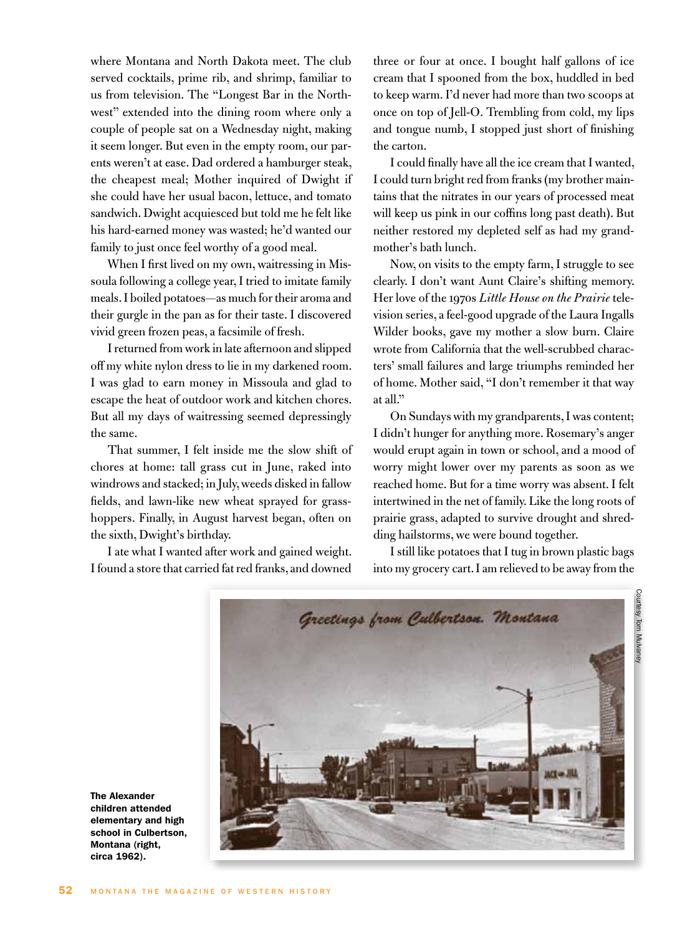where Montana and North Dakota meet. The club served cocktails, prime rib, and shrimp, familiar to us from television. The "Longest Bar in the Northwest" extended into the dining room where only a couple of people sat on a Wednesday night, making it seem longer. But even in the empty room, our parents weren't at ease. Dad ordered a hamburger steak, the cheapest meal; Mother inquired of Dwight if she could have her usual bacon, lettuce, and tomato sandwich. Dwight acquiesced but told me he felt like his hard-earned money was wasted; he'd wanted our family to just once feel worthy of a good meal.

When I first lived on my own, waitressing in Missoula following a college year, I tried to imitate family meals. I boiled potatoes—as much for their aroma and their gurgle in the pan as for their taste. I discovered vivid green frozen peas, a facsimile of fresh.

I returned from work in late afternoon and slipped off my white nylon dress to lie in my darkened room. I was glad to earn money in Missoula and glad to escape the heat of outdoor work and kitchen chores. But all my days of waitressing seemed depressingly the same.

That summer, I felt inside me the slow shift of chores at home: tall grass cut in June, raked into windrows and stacked; in July, weeds disked in fallow fields, and lawn-like new wheat sprayed for grasshoppers. Finally, in August harvest began, often on the sixth, Dwight's birthday.

I ate what I wanted after work and gained weight. I found a store that carried fat red franks, and downed

three or four at once. I bought half gallons of ice cream that I spooned from the box, huddled in bed to keep warm. I'd never had more than two scoops at once on top of Jell-O. Trembling from cold, my lips and tongue numb, I stopped just short of finishing the carton.

I could finally have all the ice cream that I wanted, I could turn bright red from franks (my brother maintains that the nitrates in our years of processed meat will keep us pink in our coffins long past death). But neither restored my depleted self as had my grandmother's bath lunch.

Now, on visits to the empty farm, I struggle to see clearly. I don't want Aunt Claire's shifting memory. Her love of the 1970s *Little House on the Prairie* television series, a feel-good upgrade of the Laura Ingalls Wilder books, gave my mother a slow burn. Claire wrote from California that the well-scrubbed characters' small failures and large triumphs reminded her of home. Mother said, "I don't remember it that way at all."

On Sundays with my grandparents, I was content; I didn't hunger for anything more. Rosemary's anger would erupt again in town or school, and a mood of worry might lower over my parents as soon as we reached home. But for a time worry was absent. I felt intertwined in the net of family. Like the long roots of prairie grass, adapted to survive drought and shredding hailstorms, we were bound together.

I still like potatoes that I tug in brown plastic bags into my grocery cart. I am relieved to be away from the



The Alexander children attended elementary and high school in Culbertson, Montana (right, circa 1962).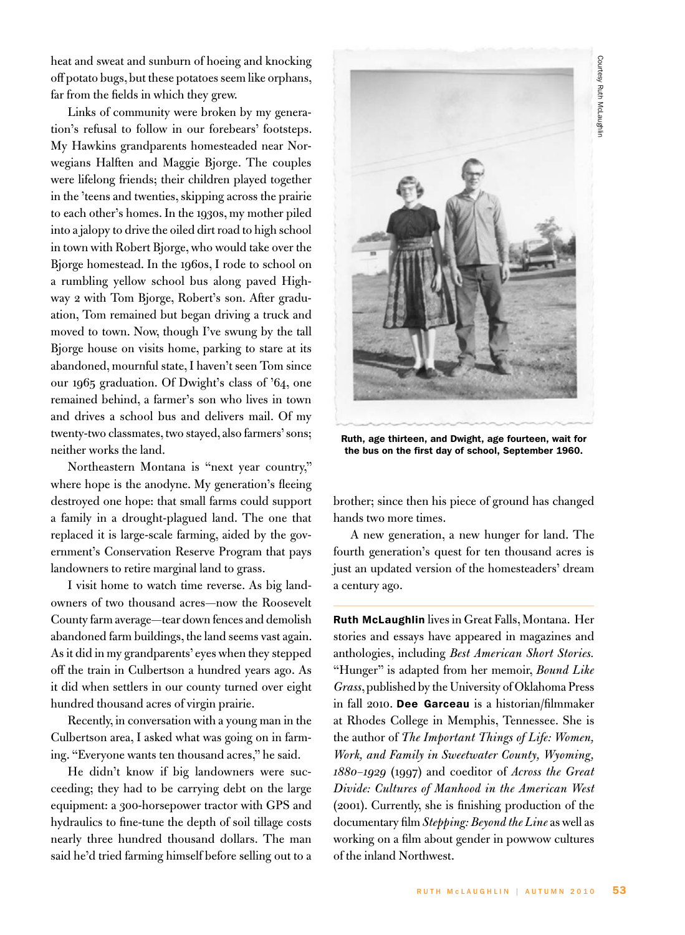Courtesy Ruth McLaughlir Courtesy Ruth McLaughlin

heat and sweat and sunburn of hoeing and knocking off potato bugs, but these potatoes seem like orphans, far from the fields in which they grew.

Links of community were broken by my generation's refusal to follow in our forebears' footsteps. My Hawkins grandparents homesteaded near Norwegians Halften and Maggie Bjorge. The couples were lifelong friends; their children played together in the 'teens and twenties, skipping across the prairie to each other's homes. In the 1930s, my mother piled into a jalopy to drive the oiled dirt road to high school in town with Robert Bjorge, who would take over the Bjorge homestead. In the 1960s, I rode to school on a rumbling yellow school bus along paved Highway 2 with Tom Bjorge, Robert's son. After graduation, Tom remained but began driving a truck and moved to town. Now, though I've swung by the tall Bjorge house on visits home, parking to stare at its abandoned, mournful state, I haven't seen Tom since our 1965 graduation. Of Dwight's class of '64, one remained behind, a farmer's son who lives in town and drives a school bus and delivers mail. Of my twenty-two classmates, two stayed, also farmers' sons; neither works the land.

Northeastern Montana is "next year country," where hope is the anodyne. My generation's fleeing destroyed one hope: that small farms could support a family in a drought-plagued land. The one that replaced it is large-scale farming, aided by the government's Conservation Reserve Program that pays landowners to retire marginal land to grass.

I visit home to watch time reverse. As big landowners of two thousand acres—now the Roosevelt County farm average—tear down fences and demolish abandoned farm buildings, the land seems vast again. As it did in my grandparents' eyes when they stepped off the train in Culbertson a hundred years ago. As it did when settlers in our county turned over eight hundred thousand acres of virgin prairie.

Recently, in conversation with a young man in the Culbertson area, I asked what was going on in farming. "Everyone wants ten thousand acres," he said.

He didn't know if big landowners were succeeding; they had to be carrying debt on the large equipment: a 300-horsepower tractor with GPS and hydraulics to fine-tune the depth of soil tillage costs nearly three hundred thousand dollars. The man said he'd tried farming himself before selling out to a



Ruth, age thirteen, and Dwight, age fourteen, wait for the bus on the first day of school, September 1960.

brother; since then his piece of ground has changed hands two more times.

A new generation, a new hunger for land. The fourth generation's quest for ten thousand acres is just an updated version of the homesteaders' dream a century ago.

Ruth McLaughlin lives in Great Falls, Montana. Her stories and essays have appeared in magazines and anthologies, including *Best American Short Stories.* "Hunger" is adapted from her memoir, *Bound Like Grass*, published by the University of Oklahoma Press in fall 2010. Dee Garceau is a historian/filmmaker at Rhodes College in Memphis, Tennessee. She is the author of *The Important Things of Life: Women, Work, and Family in Sweetwater County, Wyoming, 1880–1929* (1997) and coeditor of *Across the Great Divide: Cultures of Manhood in the American West* (2001). Currently, she is finishing production of the documentary film *Stepping: Beyond the Line* as well as working on a film about gender in powwow cultures of the inland Northwest.